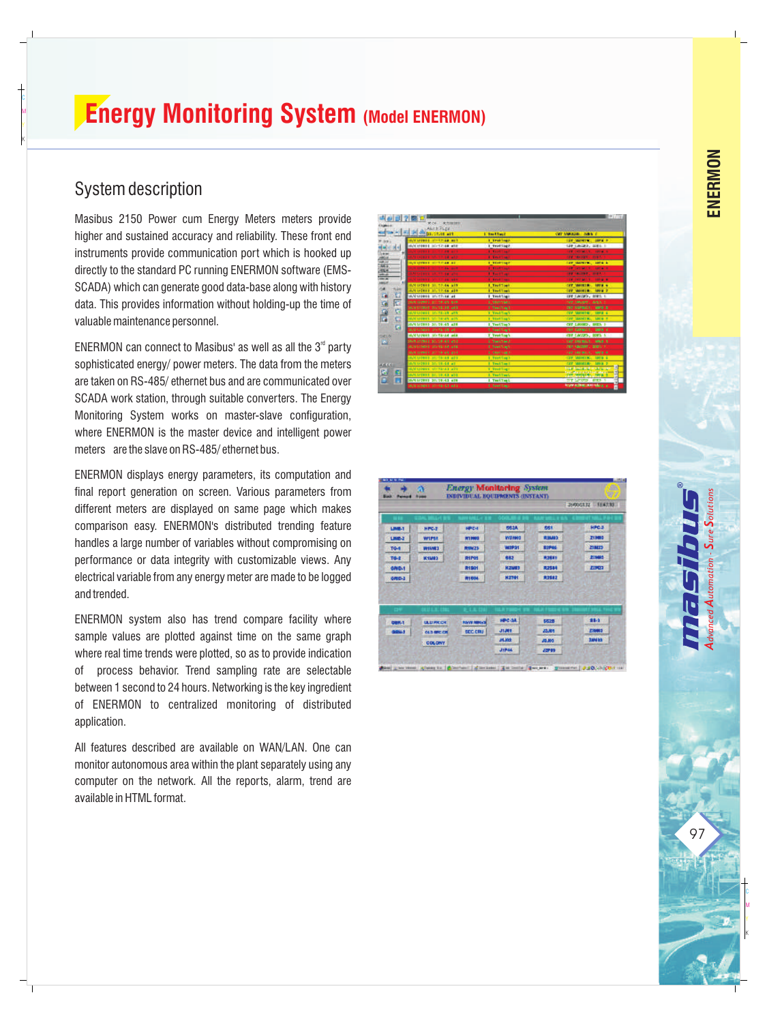# **Energy Monitoring System (Model ENERMON)**

#### System description

C<br>M<br>K

Masibus 2150 Power cum Energy Meters meters provide higher and sustained accuracy and reliability. These front end instruments provide communication port which is hooked up directly to the standard PC running ENERMON software (EMS-SCADA) which can generate good data-base along with history data. This provides information without holding-up the time of valuable maintenance personnel.

ENERMON can connect to Masibus' as well as all the  $3<sup>rd</sup>$  party sophisticated energy/ power meters. The data from the meters are taken on RS-485/ ethernet bus and are communicated over SCADA work station, through suitable converters. The Energy Monitoring System works on master-slave configuration, where ENERMON is the master device and intelligent power meters are the slave on RS-485/ ethernet bus.

ENERMON displays energy parameters, its computation and final report generation on screen. Various parameters from different meters are displayed on same page which makes comparison easy. ENERMON's distributed trending feature handles a large number of variables without compromising on performance or data integrity with customizable views. Any electrical variable from any energy meter are made to be logged and trended.

ENERMON system also has trend compare facility where sample values are plotted against time on the same graph where real time trends were plotted, so as to provide indication of process behavior. Trend sampling rate are selectable between 1 second to 24 hours. Networking is the key ingredient<br>of ENERMON to centralized monitoring of distributed application.

All features described are available on WAN/LAN. One can monitor autonomous area within the plant separately using any computer on the network. All the reports, alarm, trend are available in HTML format.



|               |                      |                     |                              |                         | 2600GEJZ 15A7.93       |
|---------------|----------------------|---------------------|------------------------------|-------------------------|------------------------|
|               |                      |                     |                              |                         |                        |
| LIMB-1        | HPG-2                | <b>HPC-I</b>        | <b>662A</b>                  | 661                     | <b>HPCJ</b>            |
| 1,885-2       | WIPSE                | <b>R11003</b>       | <b>Will need</b>             | Raugh                   | 211003                 |
| TG-1          | <b>WIVES</b>         | <b>RNM23</b>        | WIPSY                        | <b>RIPOS</b>            | ZIND                   |
| <b>TG-2</b>   | <b>MAMES</b>         | RIPOS               | 882                          | <b>R28X1</b>            | 21985                  |
| <b>GRID-1</b> |                      | RISOT               | <b>KZM#3</b>                 | R2584                   | <b>ZIPO3</b>           |
| GRID-2        |                      | <b><i>R1504</i></b> | <b>NZTO1</b>                 | <b>R2582</b>            |                        |
|               |                      |                     |                              |                         |                        |
|               |                      |                     |                              |                         |                        |
|               |                      |                     |                              |                         |                        |
| <b>GER4</b>   | <b>ULLI MICCH</b>    | <b>NAVE MIREST</b>  | <b>HPC-3A</b>                | 5520                    | 55-3                   |
| <b>GIRLS</b>  | <b>CAIN APPC CAN</b> | <b>SEC.CRU</b>      | <b>JTJEE</b><br><b>JAJAH</b> | 22,811<br><b>JO JUS</b> | ENNIS<br><b>Javist</b> |